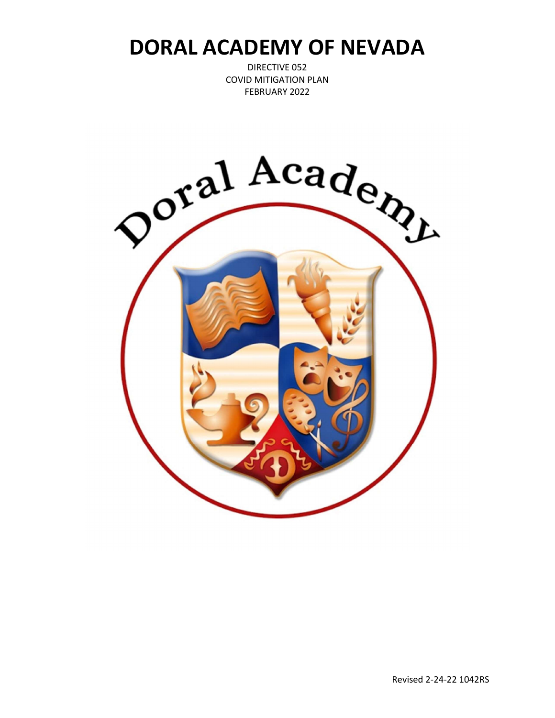DIRECTIVE 052 COVID MITIGATION PLAN FEBRUARY 2022

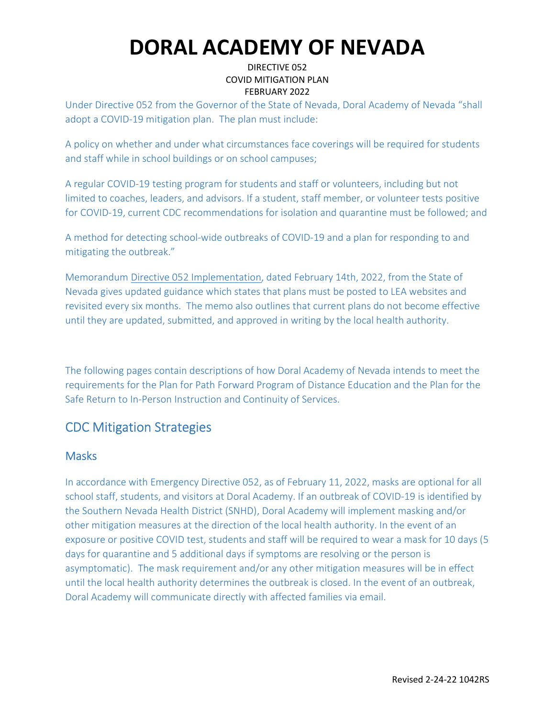### DIRECTIVE 052 COVID MITIGATION PLAN FEBRUARY 2022

Under Directive 052 from the Governor of the State of Nevada, Doral Academy of Nevada "shall adopt a COVID-19 mitigation plan. The plan must include:

A policy on whether and under what circumstances face coverings will be required for students and staff while in school buildings or on school campuses;

A regular COVID-19 testing program for students and staff or volunteers, including but not limited to coaches, leaders, and advisors. If a student, staff member, or volunteer tests positive for COVID-19, current CDC recommendations for isolation and quarantine must be followed; and

A method for detecting school-wide outbreaks of COVID-19 and a plan for responding to and mitigating the outbreak."

Memorandum Directive 052 Implementation, dated February 14th, 2022, from the State of Nevada gives updated guidance which states that plans must be posted to LEA websites and revisited every six months. The memo also outlines that current plans do not become effective until they are updated, submitted, and approved in writing by the local health authority.

The following pages contain descriptions of how Doral Academy of Nevada intends to meet the requirements for the Plan for Path Forward Program of Distance Education and the Plan for the Safe Return to In-Person Instruction and Continuity of Services.

# CDC Mitigation Strategies

### **Masks**

In accordance with Emergency Directive 052, as of February 11, 2022, masks are optional for all school staff, students, and visitors at Doral Academy. If an outbreak of COVID-19 is identified by the Southern Nevada Health District (SNHD), Doral Academy will implement masking and/or other mitigation measures at the direction of the local health authority. In the event of an exposure or positive COVID test, students and staff will be required to wear a mask for 10 days (5 days for quarantine and 5 additional days if symptoms are resolving or the person is asymptomatic). The mask requirement and/or any other mitigation measures will be in effect until the local health authority determines the outbreak is closed. In the event of an outbreak, Doral Academy will communicate directly with affected families via email.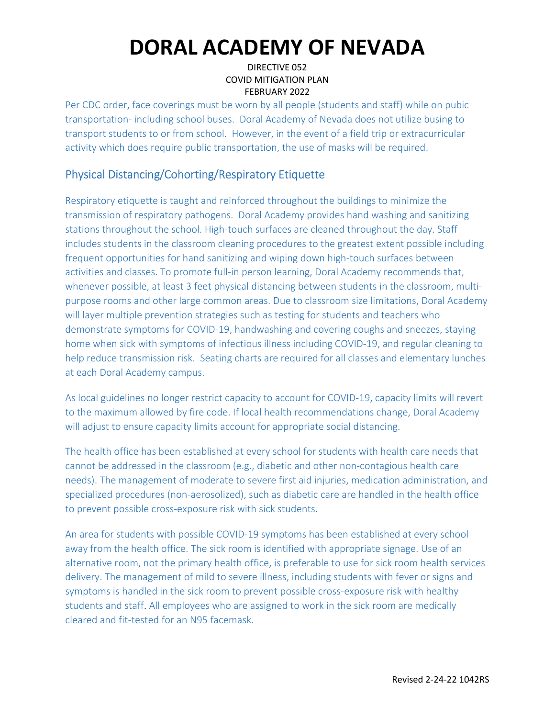### DIRECTIVE 052 COVID MITIGATION PLAN FEBRUARY 2022

Per CDC order, face coverings must be worn by all people (students and staff) while on pubic transportation- including school buses. Doral Academy of Nevada does not utilize busing to transport students to or from school. However, in the event of a field trip or extracurricular activity which does require public transportation, the use of masks will be required.

## Physical Distancing/Cohorting/Respiratory Etiquette

Respiratory etiquette is taught and reinforced throughout the buildings to minimize the transmission of respiratory pathogens. Doral Academy provides hand washing and sanitizing stations throughout the school. High-touch surfaces are cleaned throughout the day. Staff includes students in the classroom cleaning procedures to the greatest extent possible including frequent opportunities for hand sanitizing and wiping down high-touch surfaces between activities and classes. To promote full-in person learning, Doral Academy recommends that, whenever possible, at least 3 feet physical distancing between students in the classroom, multipurpose rooms and other large common areas. Due to classroom size limitations, Doral Academy will layer multiple prevention strategies such as testing for students and teachers who demonstrate symptoms for COVID-19, handwashing and covering coughs and sneezes, staying home when sick with symptoms of infectious illness including COVID-19, and regular cleaning to help reduce transmission risk. Seating charts are required for all classes and elementary lunches at each Doral Academy campus.

As local guidelines no longer restrict capacity to account for COVID-19, capacity limits will revert to the maximum allowed by fire code. If local health recommendations change, Doral Academy will adjust to ensure capacity limits account for appropriate social distancing.

The health office has been established at every school for students with health care needs that cannot be addressed in the classroom (e.g., diabetic and other non-contagious health care needs). The management of moderate to severe first aid injuries, medication administration, and specialized procedures (non-aerosolized), such as diabetic care are handled in the health office to prevent possible cross-exposure risk with sick students.

An area for students with possible COVID-19 symptoms has been established at every school away from the health office. The sick room is identified with appropriate signage. Use of an alternative room, not the primary health office, is preferable to use for sick room health services delivery. The management of mild to severe illness, including students with fever or signs and symptoms is handled in the sick room to prevent possible cross-exposure risk with healthy students and staff. All employees who are assigned to work in the sick room are medically cleared and fit-tested for an N95 facemask.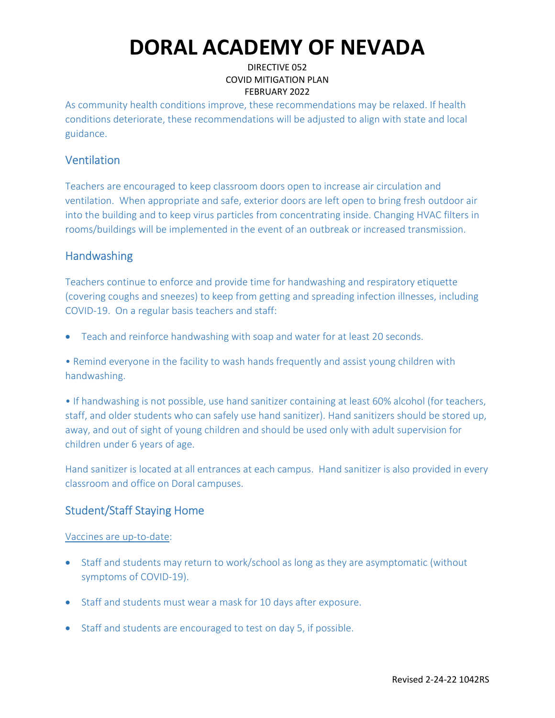### DIRECTIVE 052 COVID MITIGATION PLAN FEBRUARY 2022

As community health conditions improve, these recommendations may be relaxed. If health conditions deteriorate, these recommendations will be adjusted to align with state and local guidance.

## Ventilation

Teachers are encouraged to keep classroom doors open to increase air circulation and ventilation. When appropriate and safe, exterior doors are left open to bring fresh outdoor air into the building and to keep virus particles from concentrating inside. Changing HVAC filters in rooms/buildings will be implemented in the event of an outbreak or increased transmission.

## **Handwashing**

Teachers continue to enforce and provide time for handwashing and respiratory etiquette (covering coughs and sneezes) to keep from getting and spreading infection illnesses, including COVID-19. On a regular basis teachers and staff:

Teach and reinforce handwashing with soap and water for at least 20 seconds.

• Remind everyone in the facility to wash hands frequently and assist young children with handwashing.

• If handwashing is not possible, use hand sanitizer containing at least 60% alcohol (for teachers, staff, and older students who can safely use hand sanitizer). Hand sanitizers should be stored up, away, and out of sight of young children and should be used only with adult supervision for children under 6 years of age.

Hand sanitizer is located at all entrances at each campus. Hand sanitizer is also provided in every classroom and office on Doral campuses.

## Student/Staff Staying Home

### Vaccines are up-to-date:

- Staff and students may return to work/school as long as they are asymptomatic (without symptoms of COVID-19).
- Staff and students must wear a mask for 10 days after exposure.
- Staff and students are encouraged to test on day 5, if possible.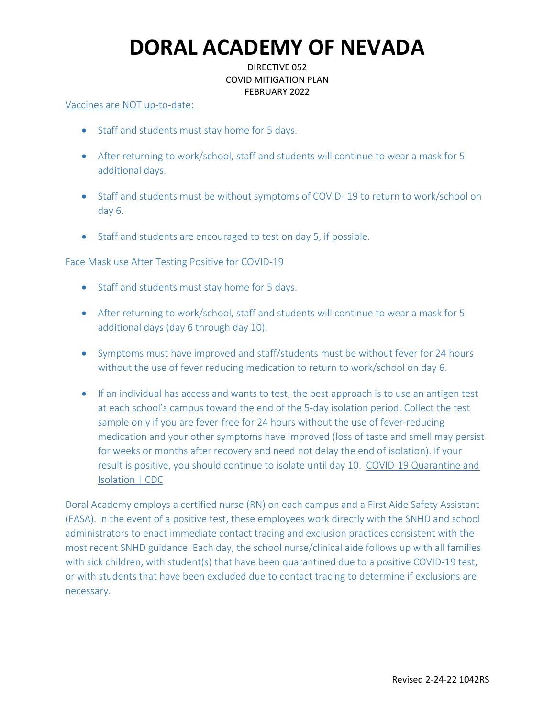### DIRECTIVE 052 COVID MITIGATION PLAN FEBRUARY 2022

#### Vaccines are NOT up-to-date:

- Staff and students must stay home for 5 days.
- After returning to work/school, staff and students will continue to wear a mask for 5 additional days.
- Staff and students must be without symptoms of COVID-19 to return to work/school on day 6.
- Staff and students are encouraged to test on day 5, if possible.

Face Mask use After Testing Positive for COVID-19

- Staff and students must stay home for 5 days.
- After returning to work/school, staff and students will continue to wear a mask for 5 additional days (day 6 through day 10).
- Symptoms must have improved and staff/students must be without fever for 24 hours without the use of fever reducing medication to return to work/school on day 6.
- **If an individual has access and wants to test, the best approach is to use an antigen test** at each school's campus toward the end of the 5-day isolation period. Collect the test sample only if you are fever-free for 24 hours without the use of fever-reducing medication and your other symptoms have improved (loss of taste and smell may persist for weeks or months after recovery and need not delay the end of isolation). If your result is positive, you should continue to isolate until day 10. COVID-19 Quarantine and Isolation | CDC

Doral Academy employs a certified nurse (RN) on each campus and a First Aide Safety Assistant (FASA). In the event of a positive test, these employees work directly with the SNHD and school administrators to enact immediate contact tracing and exclusion practices consistent with the most recent SNHD guidance. Each day, the school nurse/clinical aide follows up with all families with sick children, with student(s) that have been quarantined due to a positive COVID-19 test, or with students that have been excluded due to contact tracing to determine if exclusions are necessary.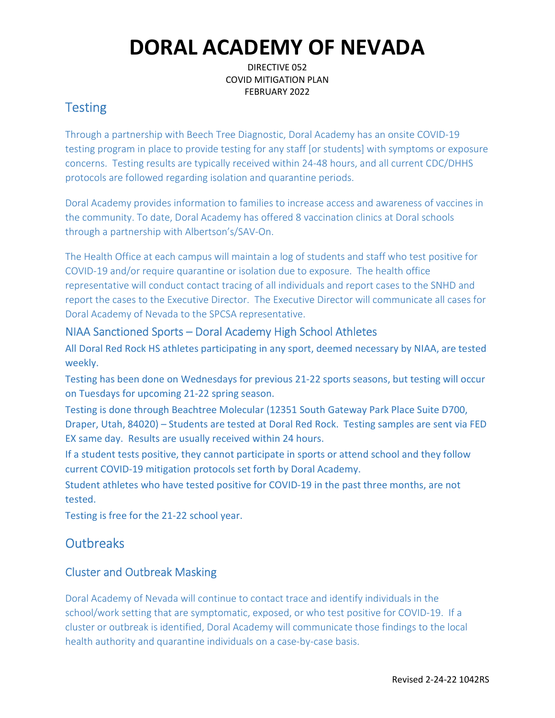DIRECTIVE 052 COVID MITIGATION PLAN FEBRUARY 2022

# **Testing**

Through a partnership with Beech Tree Diagnostic, Doral Academy has an onsite COVID-19 testing program in place to provide testing for any staff [or students] with symptoms or exposure concerns. Testing results are typically received within 24-48 hours, and all current CDC/DHHS protocols are followed regarding isolation and quarantine periods.

Doral Academy provides information to families to increase access and awareness of vaccines in the community. To date, Doral Academy has offered 8 vaccination clinics at Doral schools through a partnership with Albertson's/SAV-On.

The Health Office at each campus will maintain a log of students and staff who test positive for COVID-19 and/or require quarantine or isolation due to exposure. The health office representative will conduct contact tracing of all individuals and report cases to the SNHD and report the cases to the Executive Director. The Executive Director will communicate all cases for Doral Academy of Nevada to the SPCSA representative.

## NIAA Sanctioned Sports – Doral Academy High School Athletes

All Doral Red Rock HS athletes participating in any sport, deemed necessary by NIAA, are tested weekly.

Testing has been done on Wednesdays for previous 21-22 sports seasons, but testing will occur on Tuesdays for upcoming 21-22 spring season.

Testing is done through Beachtree Molecular (12351 South Gateway Park Place Suite D700, Draper, Utah, 84020) – Students are tested at Doral Red Rock. Testing samples are sent via FED EX same day. Results are usually received within 24 hours.

If a student tests positive, they cannot participate in sports or attend school and they follow current COVID-19 mitigation protocols set forth by Doral Academy.

Student athletes who have tested positive for COVID-19 in the past three months, are not tested.

Testing is free for the 21-22 school year.

# **Outbreaks**

## Cluster and Outbreak Masking

Doral Academy of Nevada will continue to contact trace and identify individuals in the school/work setting that are symptomatic, exposed, or who test positive for COVID-19. If a cluster or outbreak is identified, Doral Academy will communicate those findings to the local health authority and quarantine individuals on a case-by-case basis.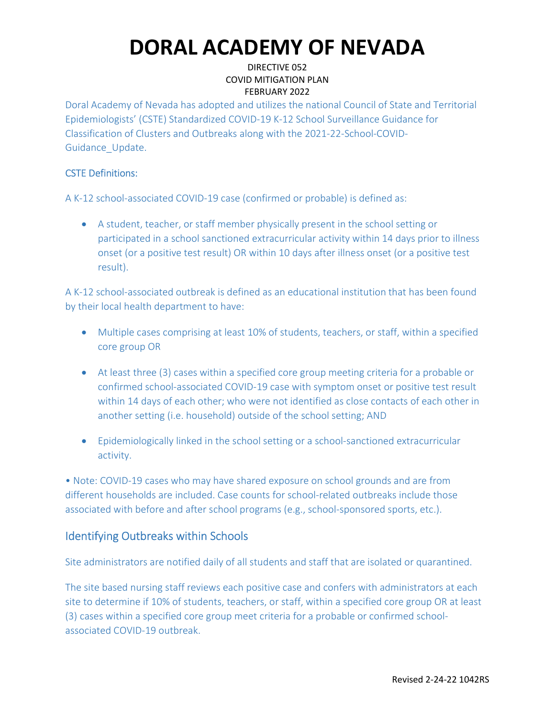### DIRECTIVE 052 COVID MITIGATION PLAN FEBRUARY 2022

Doral Academy of Nevada has adopted and utilizes the national Council of State and Territorial Epidemiologists' (CSTE) Standardized COVID-19 K-12 School Surveillance Guidance for Classification of Clusters and Outbreaks along with the 2021-22-School-COVID-Guidance\_Update.

### CSTE Definitions:

A K-12 school-associated COVID-19 case (confirmed or probable) is defined as:

 A student, teacher, or staff member physically present in the school setting or participated in a school sanctioned extracurricular activity within 14 days prior to illness onset (or a positive test result) OR within 10 days after illness onset (or a positive test result).

A K-12 school-associated outbreak is defined as an educational institution that has been found by their local health department to have:

- Multiple cases comprising at least 10% of students, teachers, or staff, within a specified core group OR
- At least three (3) cases within a specified core group meeting criteria for a probable or confirmed school-associated COVID-19 case with symptom onset or positive test result within 14 days of each other; who were not identified as close contacts of each other in another setting (i.e. household) outside of the school setting; AND
- Epidemiologically linked in the school setting or a school-sanctioned extracurricular activity.

• Note: COVID-19 cases who may have shared exposure on school grounds and are from different households are included. Case counts for school-related outbreaks include those associated with before and after school programs (e.g., school-sponsored sports, etc.).

## Identifying Outbreaks within Schools

Site administrators are notified daily of all students and staff that are isolated or quarantined.

The site based nursing staff reviews each positive case and confers with administrators at each site to determine if 10% of students, teachers, or staff, within a specified core group OR at least (3) cases within a specified core group meet criteria for a probable or confirmed schoolassociated COVID-19 outbreak.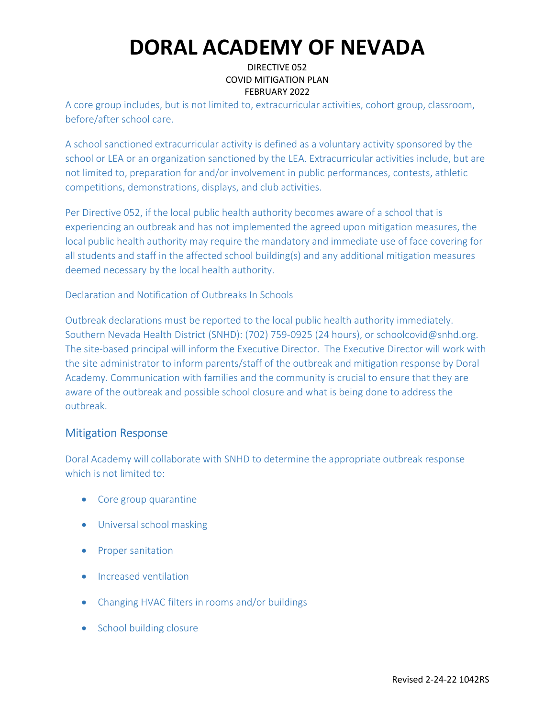### DIRECTIVE 052 COVID MITIGATION PLAN FEBRUARY 2022

A core group includes, but is not limited to, extracurricular activities, cohort group, classroom, before/after school care.

A school sanctioned extracurricular activity is defined as a voluntary activity sponsored by the school or LEA or an organization sanctioned by the LEA. Extracurricular activities include, but are not limited to, preparation for and/or involvement in public performances, contests, athletic competitions, demonstrations, displays, and club activities.

Per Directive 052, if the local public health authority becomes aware of a school that is experiencing an outbreak and has not implemented the agreed upon mitigation measures, the local public health authority may require the mandatory and immediate use of face covering for all students and staff in the affected school building(s) and any additional mitigation measures deemed necessary by the local health authority.

Declaration and Notification of Outbreaks In Schools

Outbreak declarations must be reported to the local public health authority immediately. Southern Nevada Health District (SNHD): (702) 759-0925 (24 hours), or schoolcovid@snhd.org. The site-based principal will inform the Executive Director. The Executive Director will work with the site administrator to inform parents/staff of the outbreak and mitigation response by Doral Academy. Communication with families and the community is crucial to ensure that they are aware of the outbreak and possible school closure and what is being done to address the outbreak.

## Mitigation Response

Doral Academy will collaborate with SNHD to determine the appropriate outbreak response which is not limited to:

- Core group quarantine
- Universal school masking
- Proper sanitation
- Increased ventilation
- Changing HVAC filters in rooms and/or buildings
- School building closure